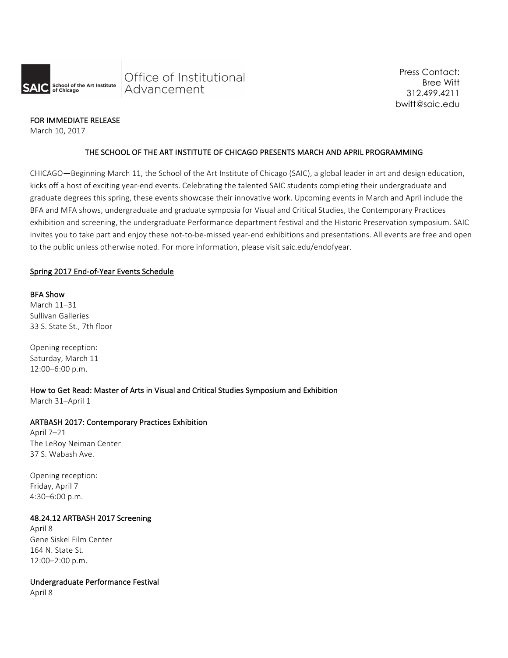

Press Contact: Bree Witt 312.499.4211 bwitt@saic.edu

## FOR IMMEDIATE RELEASE

March 10, 2017

## THE SCHOOL OF THE ART INSTITUTE OF CHICAGO PRESENTS MARCH AND APRIL PROGRAMMING

CHICAGO—Beginning March 11, the School of the Art Institute of Chicago (SAIC), a global leader in art and design education, kicks off a host of exciting year-end events. Celebrating the talented SAIC students completing their undergraduate and graduate degrees this spring, these events showcase their innovative work. Upcoming events in March and April include the BFA and MFA shows, undergraduate and graduate symposia for Visual and Critical Studies, the Contemporary Practices exhibition and screening, the undergraduate Performance department festival and the Historic Preservation symposium. SAIC invites you to take part and enjoy these not-to-be-missed year-end exhibitions and presentations. All events are free and open to the public unless otherwise noted. For more information, please visit saic.edu/endofyear.

## Spring 2017 End-of-Year Events Schedule

### **BFA Show**

March 11-31 Sullivan Galleries 33 S. State St., 7th floor

Opening reception: Saturday, March 11 12:00–6:00 p.m.

### How to Get Read: Master of Arts in Visual and Critical Studies Symposium and Exhibition

March 31-April 1

# ARTBASH 2017: Contemporary Practices Exhibition

April 7–21 The LeRoy Neiman Center 37 S. Wabash Ave.

Opening reception: Friday, April 7 4:30–6:00 p.m.

### 48.24.12 ARTBASH 2017 Screening

April 8 Gene Siskel Film Center 164 N. State St. 12:00–2:00 p.m.

# Undergraduate Performance Festival

April 8